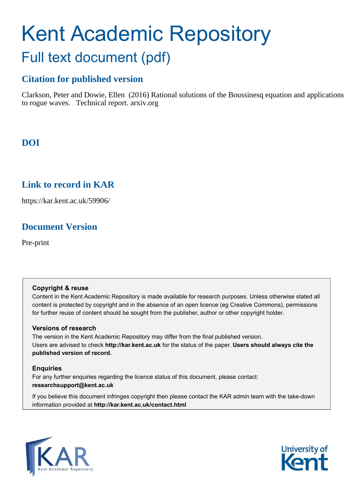# Kent Academic Repository Full text document (pdf)

# **Citation for published version**

Clarkson, Peter and Dowie, Ellen (2016) Rational solutions of the Boussinesq equation and applications to rogue waves. Technical report. arxiv.org

# **DOI**

# **Link to record in KAR**

https://kar.kent.ac.uk/59906/

# **Document Version**

Pre-print

## **Copyright & reuse**

Content in the Kent Academic Repository is made available for research purposes. Unless otherwise stated all content is protected by copyright and in the absence of an open licence (eg Creative Commons), permissions for further reuse of content should be sought from the publisher, author or other copyright holder.

## **Versions of research**

The version in the Kent Academic Repository may differ from the final published version. Users are advised to check **http://kar.kent.ac.uk** for the status of the paper. **Users should always cite the published version of record.**

## **Enquiries**

For any further enquiries regarding the licence status of this document, please contact: **researchsupport@kent.ac.uk**

If you believe this document infringes copyright then please contact the KAR admin team with the take-down information provided at **http://kar.kent.ac.uk/contact.html**



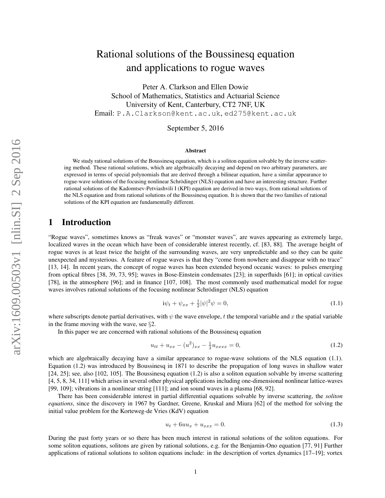# Rational solutions of the Boussinesq equation and applications to rogue waves

Peter A. Clarkson and Ellen Dowie School of Mathematics, Statistics and Actuarial Science University of Kent, Canterbury, CT2 7NF, UK Email: P.A.Clarkson@kent.ac.uk, ed275@kent.ac.uk

September 5, 2016

#### Abstract

We study rational solutions of the Boussinesq equation, which is a soliton equation solvable by the inverse scattering method. These rational solutions, which are algebraically decaying and depend on two arbitrary parameters, are expressed in terms of special polynomials that are derived through a bilinear equation, have a similar appearance to rogue-wave solutions of the focusing nonlinear Schrödinger (NLS) equation and have an interesting structure. Further rational solutions of the Kadomtsev-Petviashvili I (KPI) equation are derived in two ways, from rational solutions of the NLS equation and from rational solutions of the Boussinesq equation. It is shown that the two families of rational solutions of the KPI equation are fundamentally different.

## 1 Introduction

"Rogue waves", sometimes knows as "freak waves" or "monster waves", are waves appearing as extremely large, localized waves in the ocean which have been of considerable interest recently, cf. [83, 88]. The average height of rogue waves is at least twice the height of the surrounding waves, are very unpredictable and so they can be quite unexpected and mysterious. A feature of rogue waves is that they "come from nowhere and disappear with no trace" [13, 14]. In recent years, the concept of rogue waves has been extended beyond oceanic waves: to pulses emerging from optical fibres [38, 39, 73, 95]; waves in Bose-Einstein condensates [23]; in superfluids [61]; in optical cavities [78], in the atmosphere [96]; and in finance [107, 108]. The most commonly used mathematical model for rogue waves involves rational solutions of the focusing nonlinear Schrödinger (NLS) equation

$$
i\psi_t + \psi_{xx} + \frac{1}{2}|\psi|^2\psi = 0,
$$
\n(1.1)

where subscripts denote partial derivatives, with  $\psi$  the wave envelope, t the temporal variable and x the spatial variable in the frame moving with the wave, see §2.

In this paper we are concerned with rational solutions of the Boussinesq equation

$$
u_{tt} + u_{xx} - (u^2)_{xx} - \frac{1}{3}u_{xxxx} = 0,
$$
\n(1.2)

which are algebraically decaying have a similar appearance to rogue-wave solutions of the NLS equation (1.1). Equation (1.2) was introduced by Boussinesq in 1871 to describe the propagation of long waves in shallow water [24, 25]; see, also [102, 105]. The Boussinesq equation (1.2) is also a soliton equation solvable by inverse scattering [4, 5, 8, 34, 111] which arises in several other physical applications including one-dimensional nonlinear lattice-waves [99, 109]; vibrations in a nonlinear string [111]; and ion sound waves in a plasma [68, 92].

There has been considerable interest in partial differential equations solvable by inverse scattering, the *soliton equations*, since the discovery in 1967 by Gardner, Greene, Kruskal and Miura [62] of the method for solving the initial value problem for the Korteweg-de Vries (KdV) equation

$$
u_t + 6uu_x + u_{xxx} = 0.
$$
 (1.3)

During the past forty years or so there has been much interest in rational solutions of the soliton equations. For some soliton equations, solitons are given by rational solutions, e.g. for the Benjamin-Ono equation [77, 91] Further applications of rational solutions to soliton equations include: in the description of vortex dynamics [17–19]; vortex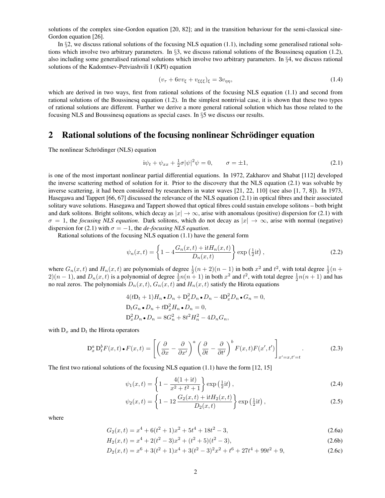solutions of the complex sine-Gordon equation [20, 82]; and in the transition behaviour for the semi-classical sine-Gordon equation [26].

In  $\S2$ , we discuss rational solutions of the focusing NLS equation (1.1), including some generalised rational solutions which involve two arbitrary parameters. In §3, we discuss rational solutions of the Boussinesq equation (1.2), also including some generalised rational solutions which involve two arbitrary parameters. In §4, we discuss rational solutions of the Kadomtsev-Petviashvili I (KPI) equation

$$
(v_{\tau} + 6vv_{\xi} + v_{\xi\xi\xi})_{\xi} = 3v_{\eta\eta},\tag{1.4}
$$

which are derived in two ways, first from rational solutions of the focusing NLS equation (1.1) and second from rational solutions of the Boussinesq equation (1.2). In the simplest nontrivial case, it is shown that these two types of rational solutions are different. Further we derive a more general rational solution which has those related to the focusing NLS and Boussinesq equations as special cases. In  $\S5$  we discuss our results.

## 2 Rational solutions of the focusing nonlinear Schrödinger equation

The nonlinear Schrödinger (NLS) equation

$$
i\psi_t + \psi_{xx} + \frac{1}{2}\sigma|\psi|^2\psi = 0, \qquad \sigma = \pm 1,
$$
\n(2.1)

is one of the most important nonlinear partial differential equations. In 1972, Zakharov and Shabat [112] developed the inverse scattering method of solution for it. Prior to the discovery that the NLS equation (2.1) was solvable by inverse scattering, it had been considered by researchers in water waves [21, 22, 110] (see also [1, 7, 8]). In 1973, Hasegawa and Tappert [66, 67] discussed the relevance of the NLS equation (2.1) in optical fibres and their associated solitary wave solutions. Hasegawa and Tappert showed that optical fibres could sustain envelope solitons – both bright and dark solitons. Bright solitons, which decay as  $|x| \to \infty$ , arise with anomalous (positive) dispersion for (2.1) with  $\sigma = 1$ , the *focusing NLS equation*. Dark solitons, which do not decay as  $|x| \to \infty$ , arise with normal (negative) dispersion for (2.1) with  $\sigma = -1$ , the *de-focusing NLS equation*.

Rational solutions of the focusing NLS equation (1.1) have the general form

$$
\psi_n(x,t) = \left\{ 1 - 4 \frac{G_n(x,t) + \mathrm{i} t H_n(x,t)}{D_n(x,t)} \right\} \exp\left(\frac{1}{2} \mathrm{i} t\right),\tag{2.2}
$$

where  $G_n(x,t)$  and  $H_n(x,t)$  are polynomials of degree  $\frac{1}{2}(n+2)(n-1)$  in both  $x^2$  and  $t^2$ , with total degree  $\frac{1}{2}(n+1)$  $2(n-1)$ , and  $D_n(x,t)$  is a polynomial of degree  $\frac{1}{2}n(n+1)$  in both  $x^2$  and  $t^2$ , with total degree  $\frac{1}{2}n(n+1)$  and has no real zeros. The polynomials  $D_n(x, t)$ ,  $G_n(x, t)$  and  $H_n(x, t)$  satisfy the Hirota equations

$$
4(t\mathbf{D}_t + 1)H_n \bullet D_n + \mathbf{D}_x^2 D_n \bullet D_n - 4\mathbf{D}_x^2 D_n \bullet G_n = 0,
$$
  
\n
$$
\mathbf{D}_t G_n \bullet D_n + t\mathbf{D}_x^2 H_n \bullet D_n = 0,
$$
  
\n
$$
\mathbf{D}_x^2 D_n \bullet D_n = 8G_n^2 + 8t^2 H_n^2 - 4D_n G_n,
$$

with  $D_x$  and  $D_t$  the Hirota operators

$$
D_x^a D_t^b F(x,t) \bullet F(x,t) = \left[ \left( \frac{\partial}{\partial x} - \frac{\partial}{\partial x'} \right)^a \left( \frac{\partial}{\partial t} - \frac{\partial}{\partial t'} \right)^b F(x,t) F(x',t') \right]_{x'=x,t'=t}.
$$
 (2.3)

The first two rational solutions of the focusing NLS equation (1.1) have the form [12, 15]

$$
\psi_1(x,t) = \left\{ 1 - \frac{4(1+it)}{x^2 + t^2 + 1} \right\} \exp\left(\frac{1}{2}it\right),\tag{2.4}
$$

$$
\psi_2(x,t) = \left\{ 1 - 12 \frac{G_2(x,t) + \mathrm{i}t H_2(x,t)}{D_2(x,t)} \right\} \exp\left(\frac{1}{2} \mathrm{i}t\right),\tag{2.5}
$$

where

$$
G_2(x,t) = x^4 + 6(t^2 + 1)x^2 + 5t^4 + 18t^2 - 3,
$$
\n(2.6a)

$$
H_2(x,t) = x^4 + 2(t^2 - 3)x^2 + (t^2 + 5)(t^2 - 3),
$$
\n(2.6b)

$$
D_2(x,t) = x^6 + 3(t^2 + 1)x^4 + 3(t^2 - 3)^2x^2 + t^6 + 27t^4 + 99t^2 + 9,
$$
\n(2.6c)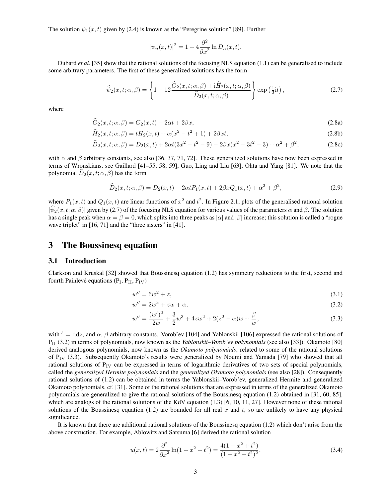The solution  $\psi_1(x, t)$  given by (2.4) is known as the "Peregrine solution" [89]. Further

$$
|\psi_n(x,t)|^2 = 1 + 4\frac{\partial^2}{\partial x^2} \ln D_n(x,t).
$$

Dubard *et al.* [35] show that the rational solutions of the focusing NLS equation (1.1) can be generalised to include some arbitrary parameters. The first of these generalized solutions has the form

$$
\widehat{\psi}_2(x,t;\alpha,\beta) = \left\{ 1 - 12 \frac{\widehat{G}_2(x,t;\alpha,\beta) + i\widehat{H}_2(x,t;\alpha,\beta)}{\widehat{D}_2(x,t;\alpha,\beta)} \right\} \exp\left(\frac{1}{2}it\right),\tag{2.7}
$$

where

$$
\widehat{G}_2(x,t;\alpha,\beta) = G_2(x,t) - 2\alpha t + 2\beta x,\tag{2.8a}
$$

$$
\widehat{H}_2(x, t; \alpha, \beta) = tH_2(x, t) + \alpha(x^2 - t^2 + 1) + 2\beta xt,
$$
\n(2.8b)

$$
\widehat{D}_2(x,t;\alpha,\beta) = D_2(x,t) + 2\alpha t (3x^2 - t^2 - 9) - 2\beta x (x^2 - 3t^2 - 3) + \alpha^2 + \beta^2,
$$
\n(2.8c)

with  $\alpha$  and  $\beta$  arbitrary constants, see also [36, 37, 71, 72]. These generalized solutions have now been expressed in terms of Wronskians, see Gaillard [41–55, 58, 59], Guo, Ling and Liu [63], Ohta and Yang [81]. We note that the polynomial  $D_2(x, t; \alpha, \beta)$  has the form

$$
\widehat{D}_2(x,t;\alpha,\beta) = D_2(x,t) + 2\alpha t P_1(x,t) + 2\beta x Q_1(x,t) + \alpha^2 + \beta^2,
$$
\n(2.9)

where  $P_1(x,t)$  and  $Q_1(x,t)$  are linear functions of  $x^2$  and  $t^2$ . In Figure 2.1, plots of the generalised rational solution  $|\hat{\psi}_2(x, t; \alpha, \beta)|$  given by (2.7) of the focusing NLS equation for various values of the parameters  $\alpha$  and  $\beta$ . The solution has a single peak when  $\alpha = \beta = 0$ , which splits into three peaks as  $|\alpha|$  and  $|\beta|$  increase; this solution is called a "rogue wave triplet" in [16, 71] and the "three sisters" in [41].

## 3 The Boussinesq equation

#### 3.1 Introduction

Clarkson and Kruskal [32] showed that Boussinesq equation (1.2) has symmetry reductions to the first, second and fourth Painlevé equations  $(P_I, P_{II}, P_{IV})$ 

$$
w'' = 6w^2 + z,\tag{3.1}
$$

$$
w'' = 2w^3 + zw + \alpha,\tag{3.2}
$$

$$
w'' = \frac{(w')^2}{2w} + \frac{3}{2}w^3 + 4zw^2 + 2(z^2 - \alpha)w + \frac{\beta}{w},
$$
\n(3.3)

with  $' = ddz$ , and  $\alpha$ ,  $\beta$  arbitrary constants. Vorob'ev [104] and Yablonskii [106] expressed the rational solutions of P<sub>II</sub> (3.2) in terms of polynomials, now known as the *Yablonskii–Vorob'ev polynomials* (see also [33]). Okamoto [80] derived analogous polynomials, now known as the *Okamoto polynomials*, related to some of the rational solutions of  $P_{\text{IV}}$  (3.3). Subsequently Okamoto's results were generalized by Noumi and Yamada [79] who showed that all rational solutions of  $P_{IV}$  can be expressed in terms of logarithmic derivatives of two sets of special polynomials, called the *generalized Hermite polynomials* and the *generalized Okamoto polynomials* (see also [28]). Consequently rational solutions of (1.2) can be obtained in terms the Yablonskii–Vorob'ev, generalized Hermite and generalized Okamoto polynomials, cf. [31]. Some of the rational solutions that are expressed in terms of the generalized Okamoto polynomials are generalized to give the rational solutions of the Boussinesq equation (1.2) obtained in [31, 60, 85], which are analogs of the rational solutions of the KdV equation (1.3) [6, 10, 11, 27]. However none of these rational solutions of the Boussinesq equation (1.2) are bounded for all real x and t, so are unlikely to have any physical significance.

It is known that there are additional rational solutions of the Boussinesq equation (1.2) which don't arise from the above construction. For example, Ablowitz and Satsuma [6] derived the rational solution

$$
u(x,t) = 2\frac{\partial^2}{\partial x^2} \ln(1+x^2+t^2) = \frac{4(1-x^2+t^2)}{(1+x^2+t^2)^2},
$$
\n(3.4)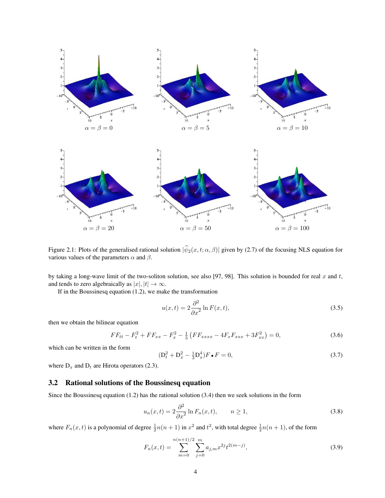

Figure 2.1: Plots of the generalised rational solution  $|\hat{\psi}_2(x, t; \alpha, \beta)|$  given by (2.7) of the focusing NLS equation for various values of the parameters  $\alpha$  and  $\beta$ .

by taking a long-wave limit of the two-soliton solution, see also [97, 98]. This solution is bounded for real  $x$  and  $t$ , and tends to zero algebraically as  $|x|, |t| \to \infty$ .

If in the Boussinesq equation (1.2), we make the transformation

$$
u(x,t) = 2\frac{\partial^2}{\partial x^2} \ln F(x,t),\tag{3.5}
$$

then we obtain the bilinear equation

$$
FF_{tt} - F_t^2 + FF_{xx} - F_x^2 - \frac{1}{3} \left( FF_{xxxx} - 4F_x F_{xxx} + 3F_{xx}^2 \right) = 0, \tag{3.6}
$$

which can be written in the form

$$
(D_t^2 + D_x^2 - \frac{1}{3}D_x^4)F \bullet F = 0,
$$
\n(3.7)

where  $D_x$  and  $D_t$  are Hirota operators (2.3).

#### 3.2 Rational solutions of the Boussinesq equation

Since the Boussinesq equation (1.2) has the rational solution (3.4) then we seek solutions in the form

$$
u_n(x,t) = 2\frac{\partial^2}{\partial x^2} \ln F_n(x,t), \qquad n \ge 1,
$$
\n(3.8)

where  $F_n(x,t)$  is a polynomial of degree  $\frac{1}{2}n(n+1)$  in  $x^2$  and  $t^2$ , with total degree  $\frac{1}{2}n(n+1)$ , of the form

$$
F_n(x,t) = \sum_{m=0}^{n(n+1)/2} \sum_{j=0}^m a_{j,m} x^{2j} t^{2(m-j)},
$$
\n(3.9)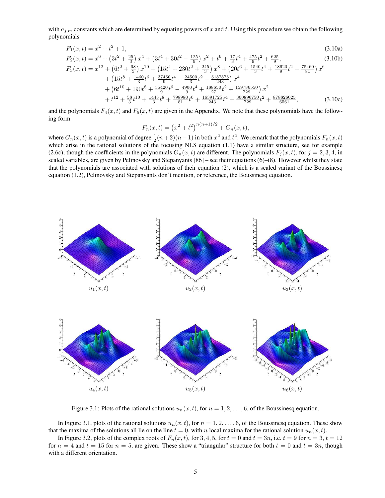with  $a_{j,m}$  constants which are determined by equating powers of x and t. Using this procedure we obtain the following polynomials

$$
F_1(x,t) = x^2 + t^2 + 1,\tag{3.10a}
$$

$$
F_2(x,t) = x^6 + \left(3t^2 + \frac{25}{3}\right)x^4 + \left(3t^4 + 30t^2 - \frac{125}{9}\right)x^2 + t^6 + \frac{17}{3}t^4 + \frac{475}{9}t^2 + \frac{625}{9},\tag{3.10b}
$$

$$
F_3(x,t) = x^{12} + \left(6t^2 + \frac{98}{3}\right)x^{10} + \left(15t^4 + 230t^2 + \frac{245}{3}\right)x^8 + \left(20t^6 + \frac{1540}{3}t^4 + \frac{18620}{9}t^2 + \frac{75460}{81}\right)x^6
$$
  
+ 
$$
\left(15t^8 + \frac{1460}{3}t^6 + \frac{37450}{9}t^4 + \frac{24500}{3}t^2 - \frac{5187875}{243}\right)x^4
$$
  
+ 
$$
\left(6t^{10} + 190t^8 + \frac{35420}{9}t^6 - \frac{4900}{9}t^4 + \frac{188650}{27}t^2 + \frac{159786550}{729}\right)x^2
$$
  
+ 
$$
t^{12} + \frac{58}{3}t^{10} + \frac{1445}{3}t^8 + \frac{798980}{81}t^6 + \frac{16391725}{243}t^4 + \frac{300896750}{729}t^2 + \frac{878826025}{6561},
$$
(3.10c)

and the polynomials  $F_4(x, t)$  and  $F_5(x, t)$  are given in the Appendix. We note that these polynomials have the following form

$$
F_n(x,t) = (x^2 + t^2)^{n(n+1)/2} + G_n(x,t),
$$

where  $G_n(x,t)$  is a polynomial of degree  $\frac{1}{2}(n+2)(n-1)$  in both  $x^2$  and  $t^2$ . We remark that the polynomials  $F_n(x,t)$ which arise in the rational solutions of the focusing NLS equation (1.1) have a similar structure, see for example (2.6c), though the coefficients in the polynomials  $G_n(x, t)$  are different. The polynomials  $F_i(x, t)$ , for  $j = 2, 3, 4$ , in scaled variables, are given by Pelinovsky and Stepanyants [86] – see their equations (6)–(8). However whilst they state that the polynomials are associated with solutions of their equation (2), which is a scaled variant of the Boussinesq equation (1.2), Pelinovsky and Stepanyants don't mention, or reference, the Boussinesq equation.



Figure 3.1: Plots of the rational solutions  $u_n(x, t)$ , for  $n = 1, 2, \ldots, 6$ , of the Boussinesq equation.

In Figure 3.1, plots of the rational solutions  $u_n(x, t)$ , for  $n = 1, 2, \ldots, 6$ , of the Boussinesq equation. These show that the maxima of the solutions all lie on the line  $t = 0$ , with n local maxima for the rational solution  $u_n(x, t)$ .

In Figure 3.2, plots of the complex roots of  $F_n(x, t)$ , for 3, 4, 5, for  $t = 0$  and  $t = 3n$ , i.e.  $t = 9$  for  $n = 3$ ,  $t = 12$ for  $n = 4$  and  $t = 15$  for  $n = 5$ , are given. These show a "triangular" structure for both  $t = 0$  and  $t = 3n$ , though with a different orientation.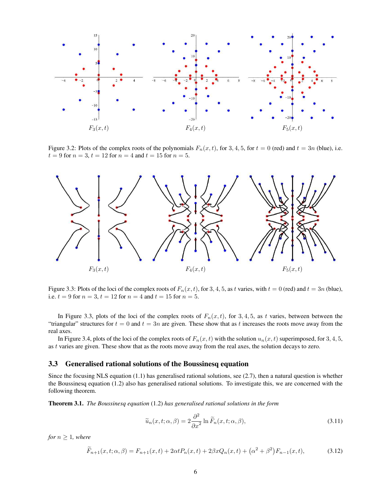

Figure 3.2: Plots of the complex roots of the polynomials  $F_n(x, t)$ , for 3, 4, 5, for  $t = 0$  (red) and  $t = 3n$  (blue), i.e.  $t = 9$  for  $n = 3$ ,  $t = 12$  for  $n = 4$  and  $t = 15$  for  $n = 5$ .



Figure 3.3: Plots of the loci of the complex roots of  $F_n(x, t)$ , for 3, 4, 5, as t varies, with  $t = 0$  (red) and  $t = 3n$  (blue), i.e.  $t = 9$  for  $n = 3$ ,  $t = 12$  for  $n = 4$  and  $t = 15$  for  $n = 5$ .

In Figure 3.3, plots of the loci of the complex roots of  $F_n(x, t)$ , for 3, 4, 5, as t varies, between between the "triangular" structures for  $t = 0$  and  $t = 3n$  are given. These show that as t increases the roots move away from the real axes.

In Figure 3.4, plots of the loci of the complex roots of  $F_n(x, t)$  with the solution  $u_n(x, t)$  superimposed, for 3, 4, 5, as t varies are given. These show that as the roots move away from the real axes, the solution decays to zero.

#### 3.3 Generalised rational solutions of the Boussinesq equation

Since the focusing NLS equation (1.1) has generalised rational solutions, see (2.7), then a natural question is whether the Boussinesq equation (1.2) also has generalised rational solutions. To investigate this, we are concerned with the following theorem.

Theorem 3.1. *The Boussinesq equation* (1.2) *has generalised rational solutions in the form*

$$
\widetilde{u}_n(x,t;\alpha,\beta) = 2\frac{\partial^2}{\partial x^2} \ln \widetilde{F}_n(x,t;\alpha,\beta),\tag{3.11}
$$

*for*  $n \geq 1$ *, where* 

$$
\widetilde{F}_{n+1}(x,t;\alpha,\beta) = F_{n+1}(x,t) + 2\alpha t P_n(x,t) + 2\beta x Q_n(x,t) + (\alpha^2 + \beta^2) F_{n-1}(x,t),
$$
\n(3.12)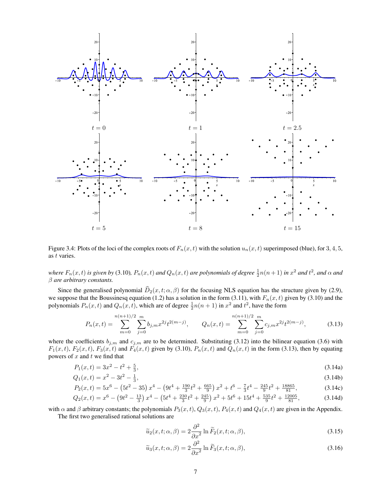

Figure 3.4: Plots of the loci of the complex roots of  $F_n(x, t)$  with the solution  $u_n(x, t)$  superimposed (blue), for 3, 4, 5, as t varies.

where  $F_n(x,t)$  is given by (3.10),  $P_n(x,t)$  and  $Q_n(x,t)$  are polynomials of degree  $\frac{1}{2}n(n+1)$  in  $x^2$  and  $t^2$ , and  $\alpha$  and β *are arbitrary constants.*

Since the generalised polynomial  $\hat{D}_2(x, t; \alpha, \beta)$  for the focusing NLS equation has the structure given by (2.9), we suppose that the Boussinesq equation (1.2) has a solution in the form (3.11), with  $F_n(x, t)$  given by (3.10) and the polynomials  $P_n(x,t)$  and  $Q_n(x,t)$ , which are of degree  $\frac{1}{2}n(n+1)$  in  $x^2$  and  $t^2$ , have the form

$$
P_n(x,t) = \sum_{m=0}^{n(n+1)/2} \sum_{j=0}^m b_{j,m} x^{2j} t^{2(m-j)}, \qquad Q_n(x,t) = \sum_{m=0}^{n(n+1)/2} \sum_{j=0}^m c_{j,m} x^{2j} t^{2(m-j)},
$$
(3.13)

where the coefficients  $b_{j,m}$  and  $c_{j,m}$  are to be determined. Substituting (3.12) into the bilinear equation (3.6) with  $F_1(x,t)$ ,  $F_2(x,t)$ ,  $F_3(x,t)$  and  $F_4(x,t)$  given by (3.10),  $P_n(x,t)$  and  $Q_n(x,t)$  in the form (3.13), then by equating powers of  $x$  and  $t$  we find that

$$
P_1(x,t) = 3x^2 - t^2 + \frac{5}{3},\tag{3.14a}
$$

$$
Q_1(x,t) = x^2 - 3t^2 - \frac{1}{3},\tag{3.14b}
$$

$$
P_2(x,t) = 5x^6 - (5t^2 - 35) x^4 - (9t^4 + \frac{190}{3}t^2 + \frac{665}{9}) x^2 + t^6 - \frac{7}{3}t^4 - \frac{245}{9}t^2 + \frac{18865}{81},
$$
(3.14c)

$$
Q_2(x,t) = x^6 - \left(9t^2 - \frac{13}{3}\right)x^4 - \left(5t^4 + \frac{230}{3}t^2 + \frac{245}{9}\right)x^2 + 5t^6 + 15t^4 + \frac{535}{9}t^2 + \frac{12005}{81},\tag{3.14d}
$$

with  $\alpha$  and  $\beta$  arbitrary constants; the polynomials  $P_3(x,t)$ ,  $Q_3(x,t)$ ,  $P_4(x,t)$  and  $Q_4(x,t)$  are given in the Appendix. The first two generalised rational solutions are

$$
\widetilde{u}_2(x,t;\alpha,\beta) = 2\frac{\partial^2}{\partial x^2} \ln \widetilde{F}_2(x,t;\alpha,\beta),\tag{3.15}
$$

$$
\widetilde{u}_3(x,t;\alpha,\beta) = 2\frac{\partial^2}{\partial x^2} \ln \widetilde{F}_3(x,t;\alpha,\beta),\tag{3.16}
$$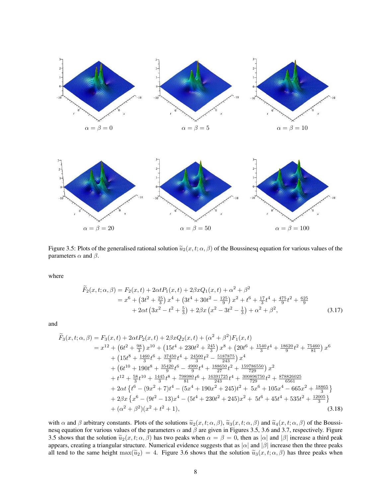



Figure 3.5: Plots of the generalised rational solution  $\tilde{u}_2(x,t;\alpha,\beta)$  of the Boussinesq equation for various values of the parameters  $\alpha$  and  $\beta$ .

where

$$
\widetilde{F}_2(x,t;\alpha,\beta) = F_2(x,t) + 2\alpha t P_1(x,t) + 2\beta x Q_1(x,t) + \alpha^2 + \beta^2
$$
\n
$$
= x^6 + \left(3t^2 + \frac{25}{3}\right)x^4 + \left(3t^4 + 30t^2 - \frac{125}{9}\right)x^2 + t^6 + \frac{17}{3}t^4 + \frac{475}{9}t^2 + \frac{625}{9}
$$
\n
$$
+ 2\alpha t \left(3x^2 - t^2 + \frac{5}{3}\right) + 2\beta x \left(x^2 - 3t^2 - \frac{1}{3}\right) + \alpha^2 + \beta^2,
$$
\n(3.17)

and

$$
\widetilde{F}_3(x,t;\alpha,\beta) = F_3(x,t) + 2\alpha t P_2(x,t) + 2\beta x Q_2(x,t) + (\alpha^2 + \beta^2) F_1(x,t)
$$
\n
$$
= x^{12} + \left(6t^2 + \frac{98}{3}\right)x^{10} + \left(15t^4 + 230t^2 + \frac{245}{3}\right)x^8 + \left(20t^6 + \frac{1540}{3}t^4 + \frac{18620}{9}t^2 + \frac{75460}{81}\right)x^6
$$
\n
$$
+ \left(15t^8 + \frac{1460}{3}t^6 + \frac{37450}{9}t^4 + \frac{24500}{3}t^2 - \frac{5187875}{243}\right)x^4
$$
\n
$$
+ \left(6t^{10} + 190t^8 + \frac{35420}{9}t^6 - \frac{4900}{9}t^4 + \frac{188650}{27}t^2 + \frac{159786550}{729}\right)x^2
$$
\n
$$
+ t^{12} + \frac{58}{3}t^{10} + \frac{1445}{3}t^8 + \frac{798980}{81}t^6 + \frac{16391725}{243}t^4 + \frac{300896750}{729}t^2 + \frac{878826025}{6561}
$$
\n
$$
+ 2\alpha t \left\{ t^6 - (9x^2 + 7)t^4 - (5x^4 + 190x^2 + 245)t^2 + 5x^6 + 105x^4 - 665x^2 + \frac{18865}{3}\right\}
$$
\n
$$
+ 2\beta x \left\{ x^6 - (9t^2 - 13)x^4 - (5t^4 + 230t^2 + 245)x^2 + 5t^6 + 45t^4 + 535t^2 + \frac{12005}{3}\right\}
$$
\n
$$
+ (\alpha^2 + \beta^2)(x^2 + t^2 + 1),
$$
\n(3.18)

with  $\alpha$  and  $\beta$  arbitrary constants. Plots of the solutions  $\tilde{u}_2(x, t; \alpha, \beta)$ ,  $\tilde{u}_3(x, t; \alpha, \beta)$  and  $\tilde{u}_4(x, t; \alpha, \beta)$  of the Boussinesq equation for various values of the parameters  $\alpha$  and  $\beta$  are given in Figures 3.5, 3.6 and 3.7, respectively. Figure 3.5 shows that the solution  $\tilde{u}_2(x,t;\alpha,\beta)$  has two peaks when  $\alpha = \beta = 0$ , then as  $|\alpha|$  and  $|\beta|$  increase a third peak appears, creating a triangular structure. Numerical evidence suggests that as  $|\alpha|$  and  $|\beta|$  increase then the three peaks all tend to the same height  $\max(\tilde{u}_2) = 4$ . Figure 3.6 shows that the solution  $\tilde{u}_3(x, t; \alpha, \beta)$  has three peaks when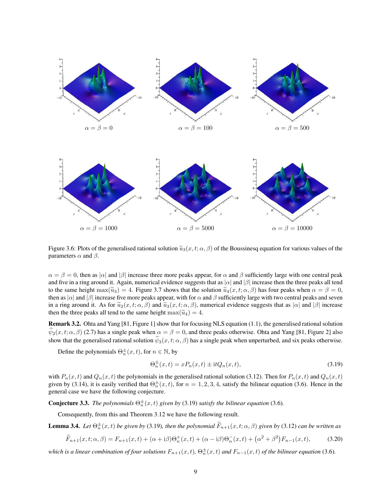

Figure 3.6: Plots of the generalised rational solution  $\tilde{u}_3(x, t; \alpha, \beta)$  of the Boussinesq equation for various values of the parameters  $\alpha$  and  $\beta$ .

 $\alpha = \beta = 0$ , then as  $|\alpha|$  and  $|\beta|$  increase three more peaks appear, for  $\alpha$  and  $\beta$  sufficiently large with one central peak and five in a ring around it. Again, numerical evidence suggests that as  $|\alpha|$  and  $|\beta|$  increase then the three peaks all tend to the same height max $(\tilde{u}_3) = 4$ . Figure 3.7 shows that the solution  $\tilde{u}_4(x, t; \alpha, \beta)$  has four peaks when  $\alpha = \beta = 0$ , then as  $|\alpha|$  and  $|\beta|$  increase five more peaks appear, with for  $\alpha$  and  $\beta$  sufficiently large with two central peaks and seven in a ring around it. As for  $\tilde{u}_2(x, t; \alpha, \beta)$  and  $\tilde{u}_3(x, t; \alpha, \beta)$ , numerical evidence suggests that as  $|\alpha|$  and  $|\beta|$  increase then the three peaks all tend to the same height  $\max(\tilde{u}_4) = 4$ .

Remark 3.2. Ohta and Yang [81, Figure 1] show that for focusing NLS equation (1.1), the generalised rational solution  $\widehat{\psi}_2(x, t; \alpha, \beta)$  (2.7) has a single peak when  $\alpha = \beta = 0$ , and three peaks otherwise. Ohta and Yang [81, Figure 2] also show that the generalised rational solution  $\psi_3(x, t; \alpha, \beta)$  has a single peak when unperturbed, and six peaks otherwise.

Define the polynomials  $\Theta_n^{\pm}(x,t)$ , for  $n \in \mathbb{N}$ , by

$$
\Theta_n^{\pm}(x,t) = xP_n(x,t) \pm itQ_n(x,t),\tag{3.19}
$$

with  $P_n(x, t)$  and  $Q_n(x, t)$  the polynomials in the generalised rational solution (3.12). Then for  $P_n(x, t)$  and  $Q_n(x, t)$ given by (3.14), it is easily verified that  $\Theta_n^{\pm}(x,t)$ , for  $n=1,2,3,4$ , satisfy the bilinear equation (3.6). Hence in the general case we have the following conjecture.

**Conjecture 3.3.** *The polynomials*  $\Theta_n^{\pm}(x,t)$  *given by* (3.19) *satisfy the bilinear equation* (3.6)*.* 

Consequently, from this and Theorem 3.12 we have the following result.

**Lemma 3.4.** Let  $\Theta_n^{\pm}(x,t)$  be given by (3.19), then the polynomial  $\widetilde{F}_{n+1}(x,t;\alpha,\beta)$  given by (3.12) can be written as

$$
\widetilde{F}_{n+1}(x,t;\alpha,\beta) = F_{n+1}(x,t) + (\alpha + i\beta)\Theta_n^+(x,t) + (\alpha - i\beta)\Theta_n^-(x,t) + (\alpha^2 + \beta^2)F_{n-1}(x,t),\tag{3.20}
$$

which is a linear combination of four solutions  $F_{n+1}(x,t)$ ,  $\Theta_n^{\pm}(x,t)$  and  $F_{n-1}(x,t)$  of the bilinear equation (3.6).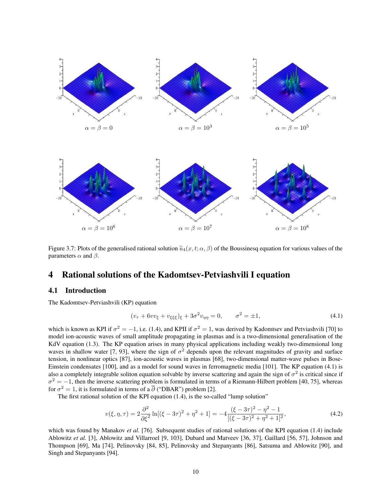



Figure 3.7: Plots of the generalised rational solution  $\tilde{u}_4(x, t; \alpha, \beta)$  of the Boussinesq equation for various values of the parameters  $\alpha$  and  $\beta$ .

# 4 Rational solutions of the Kadomtsev-Petviashvili I equation

#### 4.1 Introduction

The Kadomtsev-Petviashvili (KP) equation

$$
(v_{\tau} + 6vv_{\xi} + v_{\xi\xi\xi})_{\xi} + 3\sigma^2 v_{\eta\eta} = 0, \qquad \sigma^2 = \pm 1,
$$
\n(4.1)

which is known as KPI if  $\sigma^2 = -1$ , i.e. (1.4), and KPII if  $\sigma^2 = 1$ , was derived by Kadomtsev and Petviashvili [70] to model ion-acoustic waves of small amplitude propagating in plasmas and is a two-dimensional generalisation of the KdV equation (1.3). The KP equation arises in many physical applications including weakly two-dimensional long waves in shallow water [7, 93], where the sign of  $\sigma^2$  depends upon the relevant magnitudes of gravity and surface tension, in nonlinear optics [87], ion-acoustic waves in plasmas [68], two-dimensional matter-wave pulses in Bose-Einstein condensates [100], and as a model for sound waves in ferromagnetic media [101]. The KP equation (4.1) is also a completely integrable soliton equation solvable by inverse scattering and again the sign of  $\sigma^2$  is critical since if  $\sigma^2 = -1$ , then the inverse scattering problem is formulated in terms of a Riemann-Hilbert problem [40, 75], whereas for  $\sigma^2 = 1$ , it is formulated in terms of a  $\overline{\partial}$  ("DBAR") problem [2].

The first rational solution of the KPI equation (1.4), is the so-called "lump solution"

$$
v(\xi, \eta, \tau) = 2 \frac{\partial^2}{\partial \xi^2} \ln[(\xi - 3\tau)^2 + \eta^2 + 1] = -4 \frac{(\xi - 3\tau)^2 - \eta^2 - 1}{[(\xi - 3\tau)^2 + \eta^2 + 1]^2},\tag{4.2}
$$

which was found by Manakov *et al.* [76]. Subsequent studies of rational solutions of the KPI equation (1.4) include Ablowitz *et al.* [3], Ablowitz and Villarroel [9, 103], Dubard and Matveev [36, 37], Gaillard [56, 57], Johnson and Thompson [69], Ma [74], Pelinovsky [84, 85], Pelinovsky and Stepanyants [86], Satsuma and Ablowitz [90], and Singh and Stepanyants [94].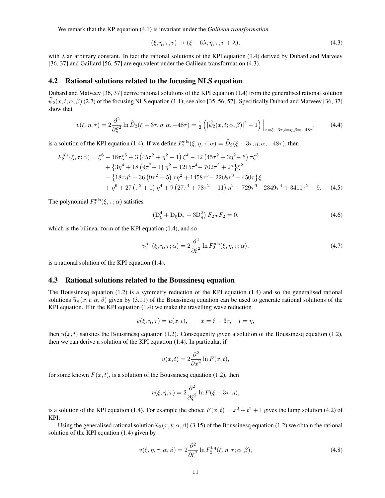We remark that the KP equation (4.1) is invariant under the *Galilean transformation*

$$
(\xi, \eta, \tau, v) \mapsto (\xi + 6\lambda, \eta, \tau, v + \lambda), \tag{4.3}
$$

with  $\lambda$  an arbitrary constant. In fact the rational solutions of the KPI equation (1.4) derived by Dubard and Matveev [36, 37] and Gaillard [56, 57] are equivalent under the Galilean transformation (4.3).

#### 4.2 Rational solutions related to the focusing NLS equation

Dubard and Matveev [36, 37] derive rational solutions of the KPI equation (1.4) from the generalised rational solution  $\psi_2(x, t; \alpha, \beta)$  (2.7) of the focusing NLS equation (1.1); see also [35, 56, 57]. Specifically Dubard and Matveev [36, 37] show that

$$
v(\xi, \eta, \tau) = 2 \frac{\partial^2}{\partial \xi^2} \ln \widehat{D}_2(\xi - 3\tau, \eta; \alpha, -48\tau) = \frac{1}{2} \left( |\widehat{\psi}_2(x, t; \alpha, \beta)|^2 - 1 \right) \Big|_{x = \xi - 3\tau, t = \eta, \beta = -48\tau},\tag{4.4}
$$

is a solution of the KPI equation (1.4). If we define  $F_2^{\text{nls}}(\xi, \eta, \tau; \alpha) = \hat{D}_2(\xi - 3\tau, \eta; \alpha, -48\tau)$ , then

$$
F_2^{\text{nls}}(\xi, \tau; \alpha) = \xi^6 - 18\tau \xi^5 + 3 \left( 45\tau^2 + \eta^2 + 1 \right) \xi^4 - 12 \left( 45\tau^2 + 3\eta^2 - 5 \right) \tau \xi^3
$$
  
+ 
$$
\left\{ 3\eta^4 + 18 \left( 9\tau^2 - 1 \right) \eta^2 + 1215\tau^4 - 702\tau^2 + 27 \right\} \xi^2
$$
  
- 
$$
\left\{ 18\tau \eta^4 + 36 \left( 9\tau^2 + 5 \right) \tau \eta^2 + 1458\tau^5 - 2268\tau^3 + 450\tau \right\} \xi
$$
  
+ 
$$
\eta^6 + 27 \left( \tau^2 + 1 \right) \eta^4 + 9 \left( 27\tau^4 + 78\tau^2 + 11 \right) \eta^2 + 729\tau^6 - 2349\tau^4 + 3411\tau^2 + 9. \tag{4.5}
$$

The polynomial  $F_2^{\text{nls}}(\xi, \tau; \alpha)$  satisfies

$$
\left(\mathbf{D}_{\xi}^{4} + \mathbf{D}_{\xi}\mathbf{D}_{\tau} - 3\mathbf{D}_{\eta}^{2}\right)F_{2} \bullet F_{2} = 0, \tag{4.6}
$$

which is the bilinear form of the KPI equation (1.4), and so

$$
v_2^{\text{nls}}(\xi, \eta, \tau; \alpha) = 2 \frac{\partial^2}{\partial \xi^2} \ln F_2^{\text{nls}}(\xi, \eta, \tau; \alpha), \tag{4.7}
$$

is a rational solution of the KPI equation (1.4).

#### 4.3 Rational solutions related to the Boussinesq equation

The Boussinesq equation (1.2) is a symmetry reduction of the KPI equation (1.4) and so the generalised rational solutions  $\tilde{u}_n(x, t; \alpha, \beta)$  given by (3.11) of the Boussinesq equation can be used to generate rational solutions of the KPI equation. If in the KPI equation (1.4) we make the travelling wave reduction

$$
v(\xi, \eta, \tau) = u(x, t), \qquad x = \xi - 3\tau, \quad t = \eta,
$$

then  $u(x, t)$  satisfies the Boussinesq equation (1.2). Consequently given a solution of the Boussinesq equation (1.2), then we can derive a solution of the KPI equation (1.4). In particular, if

$$
u(x,t) = 2\frac{\partial^2}{\partial x^2} \ln F(x,t),
$$

for some known  $F(x, t)$ , is a solution of the Boussinesq equation (1.2), then

$$
v(\xi, \eta, \tau) = 2 \frac{\partial^2}{\partial \xi^2} \ln F(\xi - 3\tau, \eta),
$$

is a solution of the KPI equation (1.4). For example the choice  $F(x,t) = x^2 + t^2 + 1$  gives the lump solution (4.2) of KPI.

Using the generalised rational solution  $\tilde{u}_2(x, t; \alpha, \beta)$  (3.15) of the Boussinesq equation (1.2) we obtain the rational solution of the KPI equation (1.4) given by

$$
v(\xi, \eta, \tau; \alpha, \beta) = 2 \frac{\partial^2}{\partial \xi^2} \ln F_2^{\text{bq}}(\xi, \eta, \tau; \alpha, \beta), \tag{4.8}
$$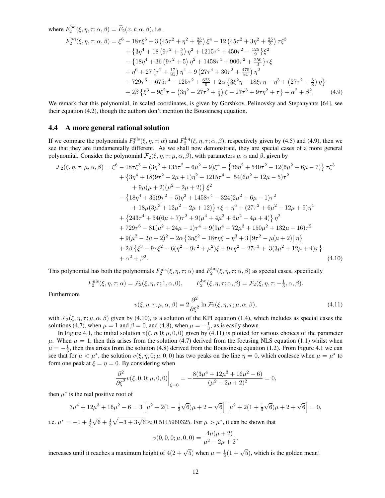where 
$$
F_2^{\text{bq}}(\xi, \eta, \tau; \alpha, \beta) = \tilde{F}_2(x, t; \alpha, \beta)
$$
, i.e.  
\n
$$
F_2^{\text{bq}}(\xi, \eta, \tau; \alpha, \beta) = \xi^6 - 18\tau \xi^5 + 3(45\tau^2 + \eta^2 + \frac{25}{9})\xi^4 - 12(45\tau^2 + 3\eta^2 + \frac{25}{3})\tau \xi^3
$$
\n
$$
+ \{3\eta^4 + 18(9\tau^2 + \frac{5}{3})\eta^2 + 1215\tau^4 + 450\tau^2 - \frac{125}{9}\xi^2
$$
\n
$$
- \{18\eta^4 + 36(9\tau^2 + 5)\eta^2 + 1458\tau^4 + 900\tau^2 + \frac{250}{3}\tau \xi
$$
\n
$$
+ \eta^6 + 27(\tau^2 + \frac{17}{81})\eta^4 + 9(27\tau^4 + 30\tau^2 + \frac{475}{81})\eta^2
$$
\n
$$
+ 729\tau^6 + 675\tau^4 - 125\tau^2 + \frac{625}{9} + 2\alpha \{3\xi^2\eta - 18\xi\tau\eta - \eta^3 + (27\tau^2 + \frac{5}{3})\eta\}
$$
\n
$$
+ 2\beta \{\xi^3 - 9\xi^2\tau - (3\eta^2 - 27\tau^2 + \frac{1}{3})\xi - 27\tau^3 + 9\tau\eta^2 + \tau\} + \alpha^2 + \beta^2.
$$
\n(4.9)

We remark that this polynomial, in scaled coordinates, is given by Gorshkov, Pelinovsky and Stepanyants [64], see their equation (4.2), though the authors don't mention the Boussinesq equation.

#### 4.4 A more general rational solution

If we compare the polynomials  $F_2^{\text{nls}}(\xi, \eta, \tau; \alpha)$  and  $F_2^{\text{bq}}(\xi, \eta, \tau; \alpha, \beta)$ , respectively given by (4.5) and (4.9), then we see that they are fundamentally different. As we shall now demonstrate, they are special cases of a more general polynomial. Consider the polynomial  $\mathcal{F}_2(\xi, \eta, \tau; \mu, \alpha, \beta)$ , with parameters  $\mu, \alpha$  and  $\beta$ , given by

$$
\mathcal{F}_2(\xi, \eta, \tau; \mu, \alpha, \beta) = \xi^6 - 18\tau \xi^5 + (3\eta^2 + 135\tau^2 - 6\mu^2 + 9)\xi^4 - \{36\eta^2 + 540\tau^2 - 12(6\mu^2 + 6\mu - 7)\} \tau \xi^3
$$
  
+ 
$$
\{3\eta^4 + 18(9\tau^2 - 2\mu + 1)\eta^2 + 1215\tau^4 - 54(6\mu^2 + 12\mu - 5)\tau^2
$$
  
+ 
$$
9\mu(\mu + 2)(\mu^2 - 2\mu + 2)\} \xi^2
$$
  
- 
$$
\{18\eta^4 + 36(9\tau^2 + 5)\eta^2 + 1458\tau^4 - 324(2\mu^2 + 6\mu - 1)\tau^2
$$
  
+ 
$$
18\mu(3\mu^3 + 12\mu^2 - 2\mu + 12)\} \tau \xi + \eta^6 + (27\tau^2 + 6\mu^2 + 12\mu + 9)\eta^4
$$
  
+ 
$$
\{243\tau^4 + 54(6\mu + 7)\tau^2 + 9(\mu^4 + 4\mu^3 + 6\mu^2 - 4\mu + 4)\} \eta^2
$$
  
+ 
$$
729\tau^6 - 81(\mu^2 + 24\mu - 1)\tau^4 + 9(9\mu^4 + 72\mu^3 + 150\mu^2 + 132\mu + 16)\tau^2
$$
  
+ 
$$
9(\mu^2 - 2\mu + 2)^2 + 2\alpha \{3\eta \xi^2 - 18\tau \eta \xi - \eta^3 + 3[9\tau^2 - \mu(\mu + 2)]\eta\}
$$
  
+ 
$$
2\beta \{\xi^3 - 9\tau \xi^2 - 6(\eta^2 - 9\tau^2 + \mu^2)\xi + 9\tau \eta^2 - 27\tau^3 + 3(3\mu^2 + 12\mu + 4)\tau\}
$$
  
+ 
$$
\alpha^2 + \beta^2.
$$
 (4.10)

This polynomial has both the polynomials  $F_2^{\text{nls}}(\xi, \eta, \tau; \alpha)$  and  $F_2^{\text{bq}}(\xi, \eta, \tau; \alpha, \beta)$  as special cases, specifically

$$
F_2^{\text{nls}}(\xi, \eta, \tau; \alpha) = \mathcal{F}_2(\xi, \eta, \tau; 1, \alpha, 0), \qquad F_2^{\text{bq}}(\xi, \eta, \tau; \alpha, \beta) = \mathcal{F}_2(\xi, \eta, \tau; -\frac{1}{3}, \alpha, \beta).
$$

Furthermore

$$
v(\xi, \eta, \tau; \mu, \alpha, \beta) = 2 \frac{\partial^2}{\partial \xi^2} \ln \mathcal{F}_2(\xi, \eta, \tau; \mu, \alpha, \beta), \tag{4.11}
$$

with  $\mathcal{F}_2(\xi, \eta, \tau; \mu, \alpha, \beta)$  given by (4.10), is a solution of the KPI equation (1.4), which includes as special cases the solutions (4.7), when  $\mu = 1$  and  $\beta = 0$ , and (4.8), when  $\mu = -\frac{1}{3}$ , as is easily shown.

In Figure 4.1, the initial solution  $v(\xi, \eta, 0; \mu, 0, 0)$  given by (4.11) is plotted for various choices of the parameter  $\mu$ . When  $\mu = 1$ , then this arises from the solution (4.7) derived from the focusing NLS equation (1.1) whilst when  $\mu = -\frac{1}{3}$ , then this arises from the solution (4.8) derived from the Boussinesq equation (1.2). From Figure 4.1 we can see that for  $\mu < \mu^*$ , the solution  $v(\xi, \eta, 0; \mu, 0, 0)$  has two peaks on the line  $\eta = 0$ , which coalesce when  $\mu = \mu^*$  to form one peak at  $\xi = \eta = 0$ . By considering when

$$
\left. \frac{\partial^2}{\partial \xi^2} v(\xi, 0, 0; \mu, 0, 0) \right|_{\xi=0} = -\frac{8(3\mu^4 + 12\mu^3 + 16\mu^2 - 6)}{(\mu^2 - 2\mu + 2)^2} = 0,
$$

then  $\mu^*$  is the real positive root of

$$
3\mu^4 + 12\mu^3 + 16\mu^2 - 6 = 3\left[\mu^2 + 2(1 - \frac{1}{3}\sqrt{6})\mu + 2 - \sqrt{6}\right]\left[\mu^2 + 2(1 + \frac{1}{3}\sqrt{6})\mu + 2 + \sqrt{6}\right] = 0,
$$

i.e.  $\mu^* = -1 + \frac{1}{3}\sqrt{6} + \frac{1}{3}\sqrt{-3 + 3\sqrt{6}} \approx 0.5115960325$ . For  $\mu > \mu^*$ , it can be shown that

$$
v(0,0,0;\mu,0,0) = \frac{4\mu(\mu+2)}{\mu^2 - 2\mu + 2},
$$

increases until it reaches a maximum height of  $4(2+\sqrt{5})$  when  $\mu = \frac{1}{2}(1+\sqrt{5})$ , which is the golden mean!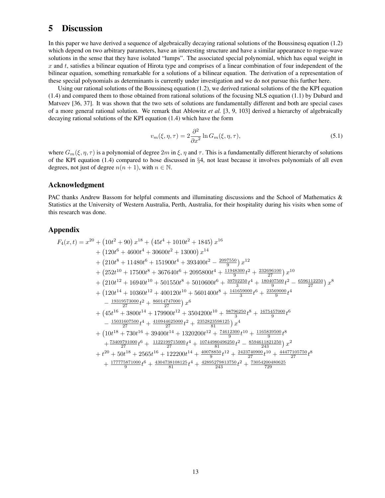# 5 Discussion

In this paper we have derived a sequence of algebraically decaying rational solutions of the Boussinesq equation (1.2) which depend on two arbitrary parameters, have an interesting structure and have a similar appearance to rogue-wave solutions in the sense that they have isolated "lumps". The associated special polynomial, which has equal weight in x and t, satisfies a bilinear equation of Hirota type and comprises of a linear combination of four independent of the bilinear equation, something remarkable for a solutions of a bilinear equation. The derivation of a representation of these special polynomials as determinants is currently under investigation and we do not pursue this further here.

Using our rational solutions of the Boussinesq equation (1.2), we derived rational solutions of the the KPI equation (1.4) and compared them to those obtained from rational solutions of the focusing NLS equation (1.1) by Dubard and Matveev [36, 37]. It was shown that the two sets of solutions are fundamentally different and both are special cases of a more general rational solution. We remark that Ablowitz *et al.* [3, 9, 103] derived a hierarchy of algebraically decaying rational solutions of the KPI equation (1.4) which have the form

$$
v_m(\xi, \eta, \tau) = 2 \frac{\partial^2}{\partial x^2} \ln G_m(\xi, \eta, \tau), \tag{5.1}
$$

where  $G_m(\xi, \eta, \tau)$  is a polynomial of degree  $2m$  in  $\xi$ ,  $\eta$  and  $\tau$ . This is a fundamentally different hierarchy of solutions of the KPI equation (1.4) compared to hose discussed in  $\S 4$ , not least because it involves polynomials of all even degrees, not just of degree  $n(n + 1)$ , with  $n \in \mathbb{N}$ .

#### Acknowledgment

PAC thanks Andrew Bassom for helpful comments and illuminating discussions and the School of Mathematics & Statistics at the University of Western Australia, Perth, Australia, for their hospitality during his visits when some of this research was done.

#### Appendix

$$
F_4(x,t) = x^{20} + (10t^2 + 90) x^{18} + (45t^4 + 1010t^2 + 1845) x^{16}
$$
  
+  $(120t^6 + 4600t^4 + 30600t^2 + 13000) x^{14}$   
+  $(210t^8 + 11480t^6 + 151900t^4 + 393400t^2 - \frac{2097550}{9}) x^{12}$   
+  $(252t^{10} + 17500t^8 + 367640t^6 + 2095800t^4 + \frac{11948300}{9}t^2 + \frac{232696100}{27}) x^{10}$   
+  $(210t^{12} + 16940t^{10} + 501550t^8 + 5010600t^6 + \frac{39702250}{37}t^4 + \frac{180407500}{9}t^2 - \frac{6596112250}{27}) x^8$   
+  $(120t^{14} + 10360t^{12} + 400120t^{10} + 5601400t^8 + \frac{141659000}{3}t^6 + \frac{23569000}{9}t^4 - \frac{19319573000}{27}t^2 + \frac{86014747000}{27}) x^6$   
+  $(45t^{16} + 3800t^{14} + 179900t^{12} + 3504200t^{10} + \frac{98796250}{3}t^8 + \frac{1675457000}{9}t^6$   
-  $\frac{15031607500}{27}t^4 + \frac{410944625000}{27}t^2 + \frac{235282398125}{81}) x^4$   
+  $(10t^{18} + 730t^{16} + 39400t^{14} + 1320200t^{12} + \frac{74612300}{9}t^{10} + \frac{1165839500}{243}t^8$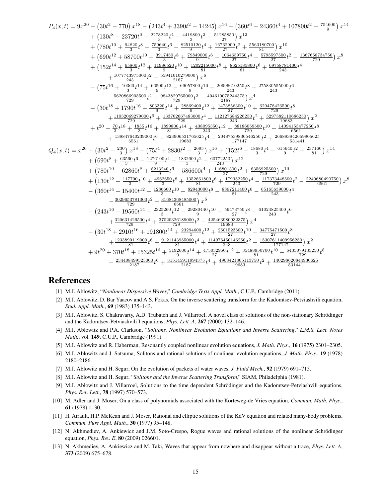$$
\begin{array}{rcl} P_4(x,t)&=9x^{20} - \left(30t^2-770\right)x^{18}- \left(243t^4+3390t^2-14245\right)x^{16}- \left(360t^6+24360t^4+107800t^2-\frac{754600}{9}\right)x^{14}\\&+ \left(130t^8-23720t^6-\frac{227820t^4}{39} -\frac{4418800t^2}{59} -\frac{512858500}{277}\right)x^{12}\\&+ \left(690t^{12}+58700t^{10}+\frac{917450}{30}t^8-\frac{55910120t^4}{30}t^4+\frac{16762900t^2}{27}t^4-\frac{5795597500t^2}{27} -\frac{1367658734750}{729}\right)x^8\\&+ \left(152t^{14}+\frac{65800}{3}t^{12}+\frac{1198652t^4}{30}t^6+\frac{192015000t^8}{2810100}t^8+\frac{8625158500}{815}t^6+\frac{69758781400}{273}t^4-\frac{5795595700t^2}{273}t^2-\frac{1367658734750}{729}\right)x^8\\&- \left(75t^{16}+\frac{10360}{34}t^4+\frac{66500}{9}t^1^2-\frac{69057800t}{2187}t^0-\frac{20966610250}{243}t^8-\frac{27583055000t^6}{243}t^6+\frac{69758781400}{243}t^6\right)\\&- \frac{5629869055000}{729}t^6+\frac{1337206500}{2187}t^2-\frac{4046107524475}{2187}t^3-x^4\\&- \frac{1103206272000}{729}t^6+\frac{133702674300}{2187}t^2+\frac{
$$

# **References**

- [1] M.J. Ablowitz, "Nonlinear Dispersive Waves," Cambridge Texts Appl. Math., C.U.P., Cambridge (2011).
- [2] M.J. Ablowitz, D. Bar Yaacov and A.S. Fokas, On the inverse scattering transform for the Kadomtsev-Petviashvili equation, Stud. Appl. Math., 69 (1983) 135-143.
- [3] M.J. Ablowitz, S. Chakravarty, A.D. Trubatch and J. Villarroel, A novel class of solutions of the non-stationary Schrödinger and the Kadomtsev-Petviashvili I equations, *Phys. Lett. A*, **267** (2000) 132-146.
- [4] M.J. Ablowitz and P.A. Clarkson, "Solitons, Nonlinear Evolution Equations and Inverse Scattering," L.M.S. Lect. Notes Math., vol. 149, C.U.P., Cambridge (1991).
- [5] M.J. Ablowitz and R. Haberman, Resonantly coupled nonlinear evolution equations, J. Math. Phys., 16 (1975) 2301-2305.
- [6] M.J. Ablowitz and J. Satsuma, Solitons and rational solutions of nonlinear evolution equations, *J. Math. Phys.*, 19 (1978) 2180-2186.
- [7] M.J. Ablowitz and H. Segur, On the evolution of packets of water waves, *J. Fluid Mech.*, 92 (1979) 691-715.
- [8] M.J. Ablowitz and H. Segur, "Solitons and the Inverse Scattering Transform," SIAM, Philadelphia (1981).
- [9] M.J. Ablowitz and J. Villarroel, Solutions to the time dependent Schrödinger and the Kadomtsev-Petviashvili equations, Phys. Rev. Lett., 78 (1997) 570-573.
- [10] M. Adler and J. Moser, On a class of polynomials associated with the Korteweg-de Vries equation, Commun. Math. Phys., 61 (1978)  $1-30$ .
- [11] H. Airault, H.P. McKean and J. Moser, Rational and elliptic solutions of the KdV equation and related many-body problems, Commun. Pure Appl. Math., 30 (1977) 95-148.
- [12] N. Akhmediev, A. Ankiewicz and J.M. Soto-Crespo, Rogue waves and rational solutions of the nonlinear Schrödinger equation, *Phys. Rev. E*, **80** (2009) 026601.
- [13] N. Akhmediev, A. Ankiewicz and M. Taki, Waves that appear from nowhere and disappear without a trace, Phys. Lett. A, 373 (2009) 675-678.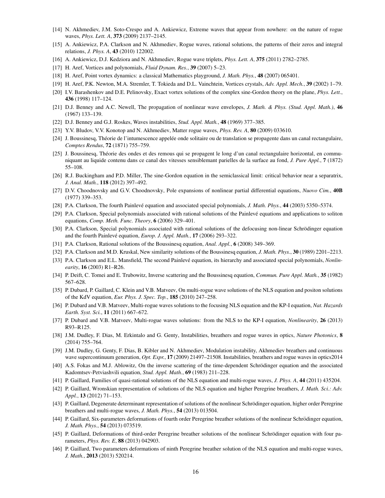- [14] N. Akhmediev, J.M. Soto-Crespo and A. Ankiewicz, Extreme waves that appear from nowhere: on the nature of rogue waves, *Phys. Lett. A*, 373 (2009) 2137–2145.
- [15] A. Ankiewicz, P.A. Clarkson and N. Akhmediev, Rogue waves, rational solutions, the patterns of their zeros and integral relations, *J. Phys. A*, 43 (2010) 122002.
- [16] A. Ankiewicz, D.J. Kedziora and N. Akhmediev, Rogue wave triplets, *Phys. Lett. A*, 375 (2011) 2782–2785.
- [17] H. Aref, Vortices and polynomials, *Fluid Dynam. Res.*, 39 (2007) 5–23.
- [18] H. Aref, Point vortex dynamics: a classical Mathematics playground, *J. Math. Phys.*, 48 (2007) 065401.
- [19] H. Aref, P.K. Newton, M.A. Stremler, T. Tokieda and D.L. Vainchtein, Vortices crystals, *Adv. Appl. Mech.*, 39 (2002) 1–79.
- [20] I.V. Barashenkov and D.E. Pelinovsky, Exact vortex solutions of the complex sine-Gordon theory on the plane, *Phys. Lett.*, 436 (1998) 117–124.
- [21] D.J. Benney and A.C. Newell, The propagation of nonlinear wave envelopes, *J. Math. & Phys. (Stud. Appl. Math.)*, 46 (1967) 133–139.
- [22] D.J. Benney and G.J. Roskes, Waves instabilities, *Stud. Appl. Math.*, 48 (1969) 377–385.
- [23] Y.V. Bludov, V.V. Konotop and N. Akhmediev, Matter rogue waves, *Phys. Rev. A*, 80 (2009) 033610.
- [24] J. Boussinesq, Théorie de l'intumescence appelée onde solitaire ou de translation se propagente dans un canal rectangulaire, *Comptes Rendus*, 72 (1871) 755–759.
- [25] J. Boussinesq, Theorie des ondes et des remous qui se propagent le long d'un canal rectangulaire horizontal, en commu- ´ niquant au liquide contenu dans ce canal des vitesses sensiblemant parielles de la surface au fond, *J. Pure Appl.*, 7 (1872) 55–108.
- [26] R.J. Buckingham and P.D. Miller, The sine-Gordon equation in the semiclassical limit: critical behavior near a separatrix, *J. Anal. Math.*, 118 (2012) 397–492.
- [27] D.V. Choodnovsky and G.V. Choodnovsky, Pole expansions of nonlinear partial differential equations, *Nuovo Cim.*, 40B (1977) 339–353.
- [28] P.A. Clarkson, The fourth Painlevé equation and associated special polynomials, *J. Math. Phys.*, 44 (2003) 5350–5374.
- [29] P.A. Clarkson, Special polynomials associated with rational solutions of the Painleve equations and applications to soliton ´ equations, *Comp. Meth. Func. Theory*, 6 (2006) 329–401.
- [30] P.A. Clarkson, Special polynomials associated with rational solutions of the defocusing non-linear Schrödinger equation and the fourth Painlevé equation, *Europ. J. Appl. Math.*, 17 (2006) 293-322.
- [31] P.A. Clarkson, Rational solutions of the Boussinesq equation, *Anal. Appl.*, 6 (2008) 349–369.
- [32] P.A. Clarkson and M.D. Kruskal, New similarity solutions of the Boussinesq equation, *J. Math. Phys.*, 30 (1989) 2201–2213.
- [33] P.A. Clarkson and E.L. Mansfield, The second Painlevé equation, its hierarchy and associated special polynomials, *Nonlinearity*, 16 (2003) R1–R26.
- [34] P. Deift, C. Tomei and E. Trubowitz, Inverse scattering and the Boussinesq equation, *Commun. Pure Appl. Math.*, 35 (1982) 567–628.
- [35] P. Dubard, P. Gaillard, C. Klein and V.B. Matveev, On multi-rogue wave solutions of the NLS equation and positon solutions of the KdV equation, *Eur. Phys. J. Spec. Top.*, 185 (2010) 247–258.
- [36] P. Dubard and V.B. Matveev, Multi-rogue waves solutions to the focusing NLS equation and the KP-I equation, *Nat. Hazards Earth. Syst. Sci.*, 11 (2011) 667–672.
- [37] P. Dubard and V.B. Matveev, Multi-rogue waves solutions: from the NLS to the KP-I equation, *Nonlinearity*, 26 (2013) R93–R125.
- [38] J.M. Dudley, F. Dias, M. Erkintalo and G. Genty, Instabilities, breathers and rogue waves in optics, *Nature Photonics*, 8 (2014) 755–764.
- [39] J.M. Dudley, G. Genty, F. Dias, B. Kibler and N. Akhmediev, Modulation instability, Akhmediev breathers and continuous wave supercontinuum generation, *Opt. Expr.*, 17 (2009) 21497–21508. Instabilities, breathers and rogue waves in optics2014
- [40] A.S. Fokas and M.J. Ablowitz, On the inverse scattering of the time-dependent Schrödinger equation and the associated Kadomtsev-Petviashvili equation, *Stud. Appl. Math.*, 69 (1983) 211–228.
- [41] P. Gaillard, Families of quasi-rational solutions of the NLS equation and multi-rogue waves, *J. Phys. A*, 44 (2011) 435204.
- [42] P. Gaillard, Wronskian representation of solutions of the NLS equation and higher Peregrine breathers, *J. Math. Sci.: Adv. Appl.*, 13 (2012) 71–153.
- [43] P. Gaillard, Degenerate determinant representation of solutions of the nonlinear Schrödinger equation, higher order Peregrine breathers and multi-rogue waves, *J. Math. Phys.*, 54 (2013) 013504.
- [44] P. Gaillard, Six-parameters deformations of fourth order Peregrine breather solutions of the nonlinear Schrödinger equation, *J. Math. Phys.*, 54 (2013) 073519.
- [45] P. Gaillard, Deformations of third-order Peregrine breather solutions of the nonlinear Schrödinger equation with four parameters, *Phys. Rev. E*, 88 (2013) 042903.
- [46] P. Gaillard, Two parameters deformations of ninth Peregrine breather solution of the NLS equation and multi-rogue waves, *J. Math.*, 2013 (2013) 520214.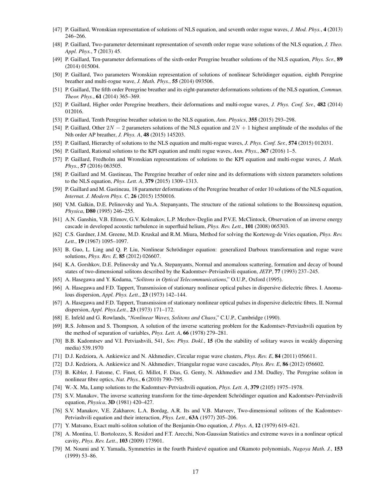- [47] P. Gaillard, Wronskian representation of solutions of NLS equation, and seventh order rogue waves, *J. Mod. Phys.*, 4 (2013) 246–266.
- [48] P. Gaillard, Two-parameter determinant representation of seventh order rogue wave solutions of the NLS equation, *J. Theo. Appl. Phys.*, 7 (2013) 45.
- [49] P. Gaillard, Ten-parameter deformations of the sixth-order Peregrine breather solutions of the NLS equation, *Phys. Scr.*, 89 (2014) 015004.
- [50] P. Gaillard, Two parameters Wronskian representation of solutions of nonlinear Schrödinger equation, eighth Peregrine breather and multi-rogue wave, *J. Math. Phys.*, 55 (2014) 093506.
- [51] P. Gaillard, The fifth order Peregrine breather and its eight-parameter deformations solutions of the NLS equation, *Commun. Theor. Phys.*, 61 (2014) 365–369.
- [52] P. Gaillard, Higher order Peregrine breathers, their deformations and multi-rogue waves, *J. Phys. Conf. Ser.*, 482 (2014) 012016.
- [53] P. Gaillard, Tenth Peregrine breather solution to the NLS equation, *Ann. Physics*, 355 (2015) 293–298.
- [54] P. Gaillard, Other  $2N 2$  parameters solutions of the NLS equation and  $2N + 1$  highest amplitude of the modulus of the Nth order AP breather, *J. Phys. A*, 48 (2015) 145203.
- [55] P. Gaillard, Hierarchy of solutions to the NLS equation and multi-rogue waves, *J. Phys. Conf. Ser.*, 574 (2015) 012031.
- [56] P. Gaillard, Rational solutions to the KPI equation and multi rogue waves, *Ann. Phys.*, 367 (2016) 1–5.
- [57] P. Gaillard, Fredholm and Wronskian representations of solutions to the KPI equation and multi-rogue waves, *J. Math. Phys.*, 57 (2016) 063505.
- [58] P. Gaillard and M. Gastineau, The Peregrine breather of order nine and its deformations with sixteen parameters solutions to the NLS equation, *Phys. Lett. A*, 379 (2015) 1309–1313.
- [59] P. Gaillard and M. Gastineau, 18 parameter deformations of the Peregrine breather of order 10 solutions of the NLS equation, *Internat. J. Modern Phys. C*, 26 (2015) 1550016.
- [60] V.M. Galkin, D.E. Pelinovsky and Yu.A. Stepanyants, The structure of the rational solutions to the Boussinesq equation, *Physica*, D80 (1995) 246–255.
- [61] A.N. Ganshin, V.B. Efimov, G.V. Kolmakov, L.P. Mezhov-Deglin and P.V.E. McClintock, Observation of an inverse energy cascade in developed acoustic turbulence in superfluid helium, *Phys. Rev. Lett.*, 101 (2008) 065303.
- [62] C.S. Gardner, J.M. Greene, M.D. Kruskal and R.M. Miura, Method for solving the Korteweg-de Vries equation, *Phys. Rev. Lett.*, 19 (1967) 1095–1097.
- [63] B. Guo, L. Ling and Q. P. Liu, Nonlinear Schrödinger equation: generalized Darboux transformation and rogue wave solutions, *Phys. Rev. E*, 85 (2012) 026607.
- [64] K.A. Gorshkov, D.E. Pelinovsky and Yu.A. Stepanyants, Normal and anomalous scattering, formation and decay of bound states of two-dimensional solitons described by the Kadomtsev-Petviashvili equation, *JETP*, 77 (1993) 237–245.
- [65] A. Hasegawa and Y. Kodama, "*Solitons in Optical Telecommunications*," O.U.P., Oxford (1995).
- [66] A. Hasegawa and F.D. Tappert, Transmission of stationary nonlinear optical pulses in dispersive dielectric fibres. I. Anomalous dispersion, *Appl. Phys. Lett.*, 23 (1973) 142–144.
- [67] A. Hasegawa and F.D. Tappert, Transmission of stationary nonlinear optical pulses in dispersive dielectric fibres. II. Normal dispersion, *Appl. Phys.Lett.*, 23 (1973) 171–172.
- [68] E. Infeld and G. Rowlands, "*Nonlinear Waves, Solitons and Chaos*," C.U.P., Cambridge (1990).
- [69] R.S. Johnson and S. Thompson, A solution of the inverse scattering problem for the Kadomtsev-Petviashvili equation by the method of separation of variables, *Phys. Lett. A*, 66 (1978) 279–281.
- [70] B.B. Kadomtsev and V.I. Petviashvili, 541, *Sov. Phys. Dokl.*, 15 (On the stability of solitary waves in weakly dispersing media) 539.1970
- [71] D.J. Kedziora, A. Ankiewicz and N. Akhmediev, Circular rogue wave clusters, *Phys. Rev. E*, 84 (2011) 056611.
- [72] D.J. Kedziora, A. Ankiewicz and N. Akhmediev, Triangular rogue wave cascades, *Phys. Rev. E*, 86 (2012) 056602.
- [73] B. Kibler, J. Fatome, C. Finot, G. Millot, F. Dias, G. Genty, N. Akhmediev and J.M. Dudley, The Peregrine soliton in nonlinear fibre optics, *Nat. Phys.*, 6 (2010) 790–795.
- [74] W.-X. Ma, Lump solutions to the Kadomtsev-Petviashvili equation, *Phys. Lett. A*, 379 (2105) 1975–1978.
- [75] S.V. Manakov, The inverse scattering transform for the time-dependent Schrödinger equation and Kadomtsev-Petviashvili equation, *Physica*, 3D (1981) 420–427.
- [76] S.V. Manakov, V.E. Zakharov, L.A. Bordag, A.R. Its and V.B. Matveev, Two-dimensional solitons of the Kadomtsev-Petviashvili equation and their interaction, *Phys. Lett.*, 63A (1977) 205–206.
- [77] Y. Matsuno, Exact multi-soliton solution of the Benjamin-Ono equation, *J. Phys. A*, 12 (1979) 619–621.
- [78] A. Montina, U. Bortolozzo, S. Residori and F.T. Arecchi, Non-Gaussian Statistics and extreme waves in a nonlinear optical cavity, *Phys. Rev. Lett.*, 103 (2009) 173901.
- [79] M. Noumi and Y. Yamada, Symmetries in the fourth Painlevé equation and Okamoto polynomials, Nagoya Math. J., 153 (1999) 53–86.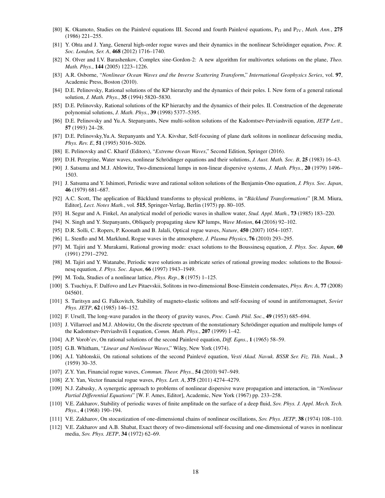- [80] K. Okamoto, Studies on the Painlevé equations III. Second and fourth Painlevé equations, P<sub>II</sub> and P<sub>IV</sub>, *Math. Ann.*, 275 (1986) 221–255.
- [81] Y. Ohta and J. Yang, General high-order rogue waves and their dynamics in the nonlinear Schrödinger equation, Proc. R. *Soc. London, Ser. A*, 468 (2012) 1716–1740.
- [82] N. Olver and I.V. Barashenkov, Complex sine-Gordon-2: A new algorithm for multivortex solutions on the plane, *Theo. Math. Phys.*, 144 (2005) 1223–1226.
- [83] A.R. Osborne, "*Nonlinear Ocean Waves and the Inverse Scattering Transform*," *International Geophysics Series*, vol. 97, Academic Press, Boston (2010).
- [84] D.E. Pelinovsky, Rational solutions of the KP hierarchy and the dynamics of their poles. I. New form of a general rational solution, *J. Math. Phys.*, 35 (1994) 5820–5830.
- [85] D.E. Pelinovsky, Rational solutions of the KP hierarchy and the dynamics of their poles. II. Construction of the degenerate polynomial solutions, *J. Math. Phys.*, 39 (1998) 5377–5395.
- [86] D.E. Pelinovsky and Yu.A. Stepanyants, New multi-soliton solutions of the Kadomtsev-Petviashvili equation, *JETP Lett.*, 57 (1993) 24–28.
- [87] D.E. Pelinovsky,Yu.A. Stepanyants and Y.A. Kivshar, Self-focusing of plane dark solitons in nonlinear defocusing media, *Phys. Rev. E*, 51 (1995) 5016–5026.
- [88] E. Pelinovsky and C. Kharif (Editors), "*Extreme Ocean Waves*," Second Edition, Springer (2016).
- [89] D.H. Peregrine, Water waves, nonlinear Schrödinger equations and their solutions, *J. Aust. Math. Soc. B*, 25 (1983) 16–43.
- [90] J. Satsuma and M.J. Ablowitz, Two-dimensional lumps in non-linear dispersive systems, *J. Math. Phys.*, 20 (1979) 1496– 1503.
- [91] J. Satsuma and Y. Ishimori, Periodic wave and rational soliton solutions of the Benjamin-Ono equation, *J. Phys. Soc. Japan*, 46 (1979) 681–687.
- [92] A.C. Scott, The application of Bäcklund transforms to physical problems, in "*Bäcklund Transformations*" [R.M. Miura, Editor], *Lect. Notes Math.*, vol. 515, Springer-Verlag, Berlin (1975) pp. 80–105.
- [93] H. Segur and A. Finkel, An analytical model of periodic waves in shallow water, *Stud. Appl. Math.*, 73 (1985) 183–220.
- [94] N. Singh and Y. Stepanyants, Obliquely propagating skew KP lumps, *Wave Motion*, 64 (2016) 92–102.
- [95] D.R. Solli, C. Ropers, P. Koonath and B. Jalali, Optical rogue waves, *Nature*, 450 (2007) 1054–1057.
- [96] L. Stenflo and M. Marklund, Rogue waves in the atmosphere, *J. Plasma Physics*, 76 (2010) 293–295.
- [97] M. Tajiri and Y. Murakami, Rational growing mode: exact solutions to the Boussinesq equation, *J. Phys. Soc. Japan*, 60 (1991) 2791–2792.
- [98] M. Tajiri and Y. Watanabe, Periodic wave solutions as imbricate series of rational growing modes: solutions to the Boussinesq equation, *J. Phys. Soc. Japan*, 66 (1997) 1943–1949.
- [99] M. Toda, Studies of a nonlinear lattice, *Phys. Rep.*, 8 (1975) 1–125.
- [100] S. Tsuchiya, F. Dalfovo and Lev Pitaevskii, Solitons in two-dimensional Bose-Einstein condensates, *Phys. Rev. A*, 77 (2008) 045601.
- [101] S. Turitsyn and G. Falkovitch, Stability of magneto-elastic solitons and self-focusing of sound in antiferromagnet, *Soviet Phys. JETP*, 62 (1985) 146–152.
- [102] F. Ursell, The long-wave paradox in the theory of gravity waves, *Proc. Camb. Phil. Soc.*, 49 (1953) 685–694.
- [103] J. Villarroel and M.J. Ablowitz, On the discrete spectrum of the nonstationary Schrödinger equation and multipole lumps of the Kadomtsev-Petviashvili I equation, *Comm. Math. Phys.*, 207 (1999) 1–42.
- [104] A.P. Vorob'ev, On rational solutions of the second Painlevé equation, *Diff. Eqns.*, 1 (1965) 58–59.
- [105] G.B. Whitham, "*Linear and Nonlinear Waves*," Wiley, New York (1974).
- [106] A.I. Yablonskii, On rational solutions of the second Painlevé equation, Vesti Akad. Navuk. BSSR Ser. Fiz. Tkh. Nauk., 3 (1959) 30–35.
- [107] Z.Y. Yan, Financial rogue waves, *Commun. Theor. Phys.*, 54 (2010) 947–949.
- [108] Z.Y. Yan, Vector financial rogue waves, *Phys. Lett. A*, 375 (2011) 4274–4279.
- [109] N.J. Zabusky, A synergetic approach to problems of nonlinear dispersive wave propagation and interaction, in "*Nonlinear Partial Differential Equations*" [W. F. Ames, Editor], Academic, New York (1967) pp. 233–258.
- [110] V.E. Zakharov, Stability of periodic waves of finite amplitude on the surface of a deep fluid, *Sov. Phys. J. Appl. Mech. Tech. Phys.*, 4 (1968) 190–194.
- [111] V.E. Zakharov, On stocastization of one-dimensional chains of nonlinear oscillations, *Sov. Phys. JETP*, 38 (1974) 108–110.
- [112] V.E. Zakharov and A.B. Shabat, Exact theory of two-dimensional self-focusing and one-dimensional of waves in nonlinear media, *Sov. Phys. JETP*, 34 (1972) 62–69.